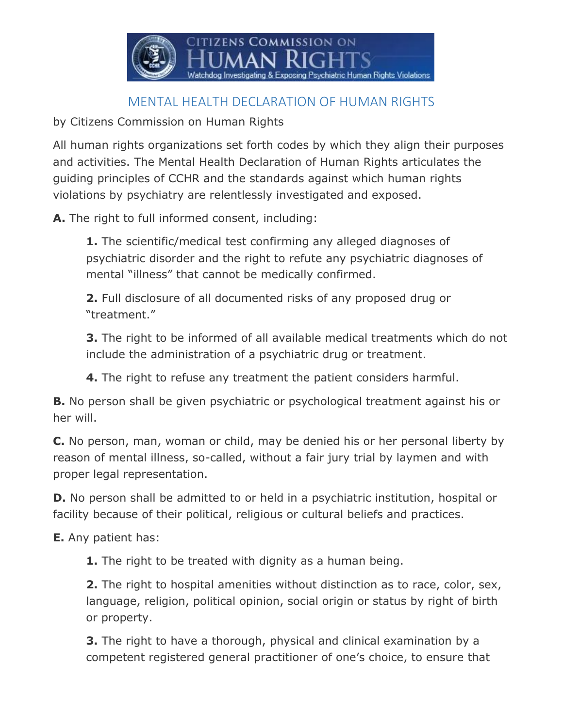

## MENTAL HEALTH DECLARATION OF HUMAN RIGHTS

by Citizens Commission on Human Rights

All human rights organizations set forth codes by which they align their purposes and activities. The Mental Health Declaration of Human Rights articulates the guiding principles of CCHR and the standards against which human rights violations by psychiatry are relentlessly investigated and exposed.

**A.** The right to full informed consent, including:

**1.** The scientific/medical test confirming any alleged diagnoses of psychiatric disorder and the right to refute any psychiatric diagnoses of mental "illness" that cannot be medically confirmed.

**2.** Full disclosure of all documented risks of any proposed drug or "treatment."

**3.** The right to be informed of all available medical treatments which do not include the administration of a psychiatric drug or treatment.

**4.** The right to refuse any treatment the patient considers harmful.

**B.** No person shall be given psychiatric or psychological treatment against his or her will.

**C.** No person, man, woman or child, may be denied his or her personal liberty by reason of mental illness, so-called, without a fair jury trial by laymen and with proper legal representation.

**D.** No person shall be admitted to or held in a psychiatric institution, hospital or facility because of their political, religious or cultural beliefs and practices.

**E.** Any patient has:

**1.** The right to be treated with dignity as a human being.

**2.** The right to hospital amenities without distinction as to race, color, sex, language, religion, political opinion, social origin or status by right of birth or property.

**3.** The right to have a thorough, physical and clinical examination by a competent registered general practitioner of one's choice, to ensure that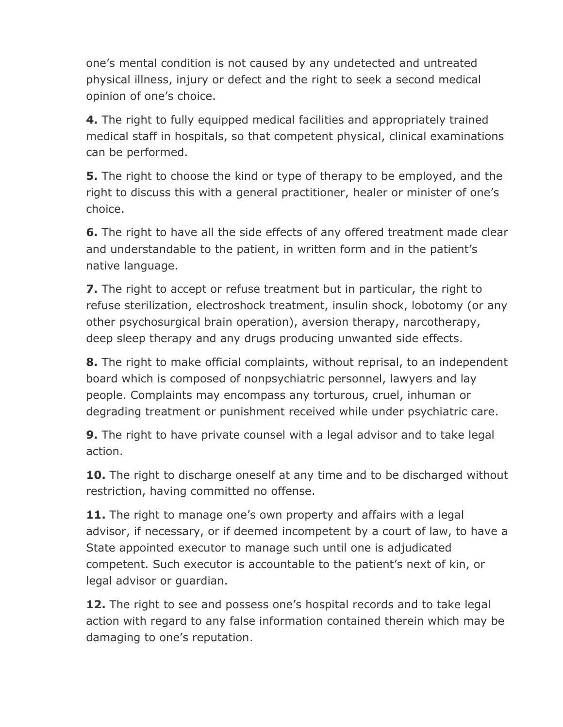one's mental condition is not caused by any undetected and untreated physical illness, injury or defect and the right to seek a second medical opinion of one's choice.

**4.** The right to fully equipped medical facilities and appropriately trained medical staff in hospitals, so that competent physical, clinical examinations can be performed.

**5.** The right to choose the kind or type of therapy to be employed, and the right to discuss this with a general practitioner, healer or minister of one's choice.

**6.** The right to have all the side effects of any offered treatment made clear and understandable to the patient, in written form and in the patient's native language.

**7.** The right to accept or refuse treatment but in particular, the right to refuse sterilization, electroshock treatment, insulin shock, lobotomy (or any other psychosurgical brain operation), aversion therapy, narcotherapy, deep sleep therapy and any drugs producing unwanted side effects.

**8.** The right to make official complaints, without reprisal, to an independent board which is composed of nonpsychiatric personnel, lawyers and lay people. Complaints may encompass any torturous, cruel, inhuman or degrading treatment or punishment received while under psychiatric care.

**9.** The right to have private counsel with a legal advisor and to take legal action.

**10.** The right to discharge oneself at any time and to be discharged without restriction, having committed no offense.

**11.** The right to manage one's own property and affairs with a legal advisor, if necessary, or if deemed incompetent by a court of law, to have a State appointed executor to manage such until one is adjudicated competent. Such executor is accountable to the patient's next of kin, or legal advisor or guardian.

**12.** The right to see and possess one's hospital records and to take legal action with regard to any false information contained therein which may be damaging to one's reputation.